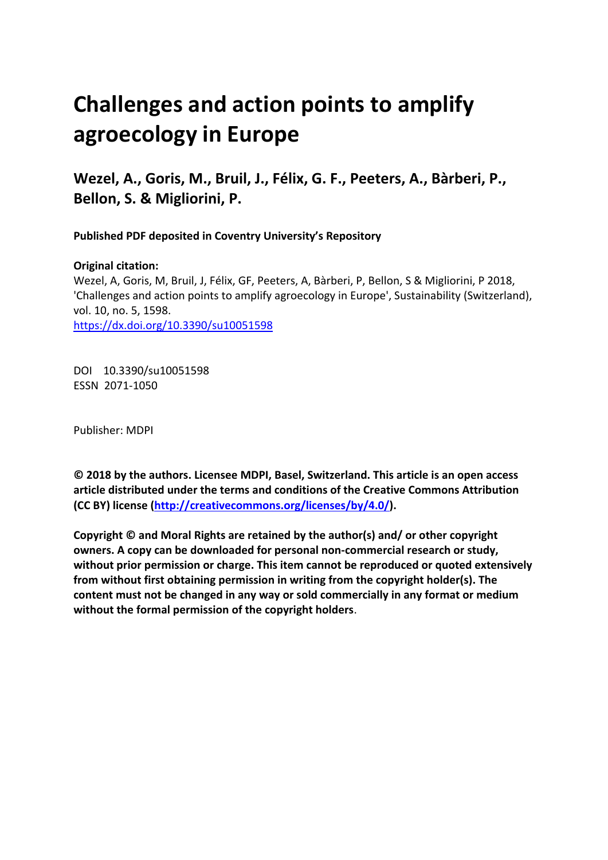# **Challenges and action points to amplify agroecology in Europe**

**Wezel, A., Goris, M., Bruil, J., Félix, G. F., Peeters, A., Bàrberi, P., Bellon, S. & Migliorini, P.**

**Published PDF deposited in Coventry University's Repository** 

## **Original citation:**

Wezel, A, Goris, M, Bruil, J, Félix, GF, Peeters, A, Bàrberi, P, Bellon, S & Migliorini, P 2018, 'Challenges and action points to amplify agroecology in Europe', Sustainability (Switzerland), vol. 10, no. 5, 1598. https://dx.doi.org/10.3390/su10051598

DOI 10.3390/su10051598 ESSN 2071-1050

Publisher: MDPI

**© 2018 by the authors. Licensee MDPI, Basel, Switzerland. This article is an open access article distributed under the terms and conditions of the Creative Commons Attribution (CC BY) license [\(http://creativecommons.org/licenses/by/4.0/\)](http://creativecommons.org/licenses/by/4.0/).**

**Copyright © and Moral Rights are retained by the author(s) and/ or other copyright owners. A copy can be downloaded for personal non-commercial research or study, without prior permission or charge. This item cannot be reproduced or quoted extensively from without first obtaining permission in writing from the copyright holder(s). The content must not be changed in any way or sold commercially in any format or medium without the formal permission of the copyright holders**.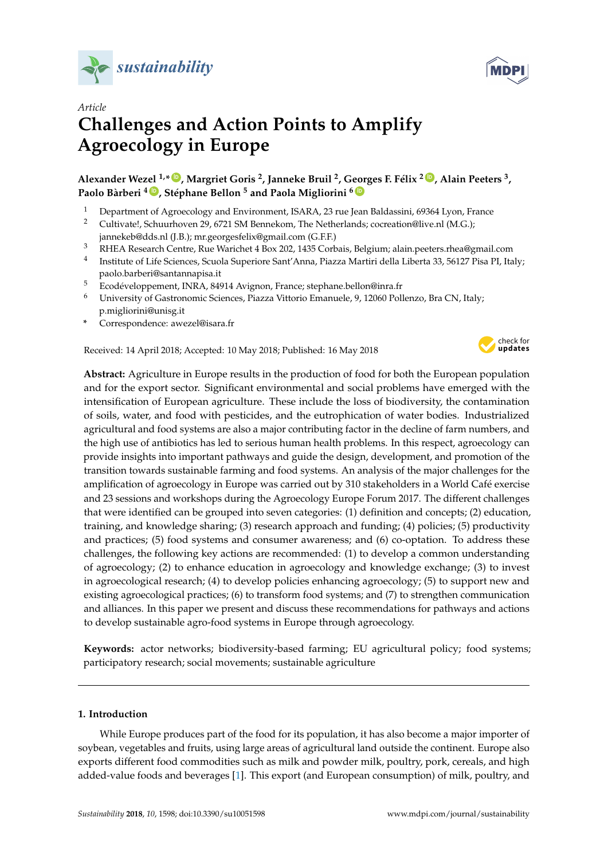



# *Article* **Challenges and Action Points to Amplify Agroecology in Europe**

**Alexander Wezel 1,\* [ID](https://orcid.org/0000-0001-5088-5087) , Margriet Goris <sup>2</sup> , Janneke Bruil <sup>2</sup> , Georges F. Félix <sup>2</sup> [ID](https://orcid.org/0000-0001-7342-6545) , Alain Peeters <sup>3</sup> , Paolo Bàrberi <sup>4</sup> [ID](https://orcid.org/0000-0003-1266-7024) , Stéphane Bellon <sup>5</sup> and Paola Migliorini <sup>6</sup> [ID](https://orcid.org/0000-0002-8573-0381)**

- <sup>1</sup> Department of Agroecology and Environment, ISARA, 23 rue Jean Baldassini, 69364 Lyon, France<br><sup>2</sup> Cultivatel, Schuurboven 29, 6721 SM Bennekom. The Netherlands: cocreation@live pl (M.G.)
- <sup>2</sup> Cultivate!, Schuurhoven 29, 6721 SM Bennekom, The Netherlands; cocreation@live.nl (M.G.); jannekeb@dds.nl (J.B.); mr.georgesfelix@gmail.com (G.F.F.)
- <sup>3</sup> RHEA Research Centre, Rue Warichet 4 Box 202, 1435 Corbais, Belgium; alain.peeters.rhea@gmail.com
- 4 Institute of Life Sciences, Scuola Superiore Sant'Anna, Piazza Martiri della Liberta 33, 56127 Pisa PI, Italy; paolo.barberi@santannapisa.it
- <sup>5</sup> Ecodéveloppement, INRA, 84914 Avignon, France; stephane.bellon@inra.fr<br><sup>6</sup> Ilpiyersity of Cestronomic Sciences, Biagga Vittoria Emanuele, 0, 12060 Poli
- <sup>6</sup> University of Gastronomic Sciences, Piazza Vittorio Emanuele, 9, 12060 Pollenzo, Bra CN, Italy; p.migliorini@unisg.it
- **\*** Correspondence: awezel@isara.fr

Received: 14 April 2018; Accepted: 10 May 2018; Published: 16 May 2018



**Abstract:** Agriculture in Europe results in the production of food for both the European population and for the export sector. Significant environmental and social problems have emerged with the intensification of European agriculture. These include the loss of biodiversity, the contamination of soils, water, and food with pesticides, and the eutrophication of water bodies. Industrialized agricultural and food systems are also a major contributing factor in the decline of farm numbers, and the high use of antibiotics has led to serious human health problems. In this respect, agroecology can provide insights into important pathways and guide the design, development, and promotion of the transition towards sustainable farming and food systems. An analysis of the major challenges for the amplification of agroecology in Europe was carried out by 310 stakeholders in a World Café exercise and 23 sessions and workshops during the Agroecology Europe Forum 2017. The different challenges that were identified can be grouped into seven categories: (1) definition and concepts; (2) education, training, and knowledge sharing; (3) research approach and funding; (4) policies; (5) productivity and practices; (5) food systems and consumer awareness; and (6) co-optation. To address these challenges, the following key actions are recommended: (1) to develop a common understanding of agroecology; (2) to enhance education in agroecology and knowledge exchange; (3) to invest in agroecological research; (4) to develop policies enhancing agroecology; (5) to support new and existing agroecological practices; (6) to transform food systems; and (7) to strengthen communication and alliances. In this paper we present and discuss these recommendations for pathways and actions to develop sustainable agro-food systems in Europe through agroecology.

**Keywords:** actor networks; biodiversity-based farming; EU agricultural policy; food systems; participatory research; social movements; sustainable agriculture

#### **1. Introduction**

While Europe produces part of the food for its population, it has also become a major importer of soybean, vegetables and fruits, using large areas of agricultural land outside the continent. Europe also exports different food commodities such as milk and powder milk, poultry, pork, cereals, and high added-value foods and beverages [\[1\]](#page-10-0). This export (and European consumption) of milk, poultry, and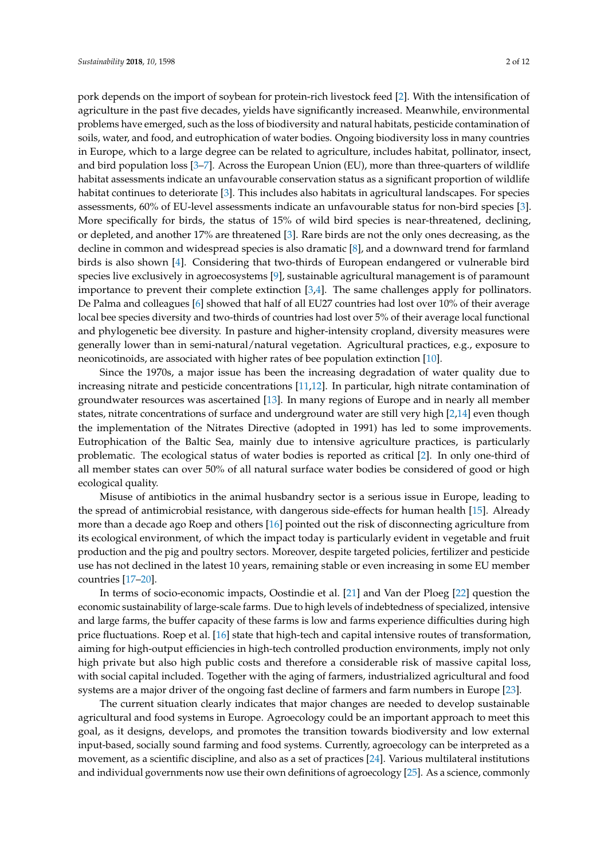pork depends on the import of soybean for protein-rich livestock feed [\[2\]](#page-10-1). With the intensification of agriculture in the past five decades, yields have significantly increased. Meanwhile, environmental problems have emerged, such as the loss of biodiversity and natural habitats, pesticide contamination of soils, water, and food, and eutrophication of water bodies. Ongoing biodiversity loss in many countries in Europe, which to a large degree can be related to agriculture, includes habitat, pollinator, insect, and bird population loss [\[3–](#page-10-2)[7\]](#page-10-3). Across the European Union (EU), more than three-quarters of wildlife habitat assessments indicate an unfavourable conservation status as a significant proportion of wildlife habitat continues to deteriorate [\[3\]](#page-10-2). This includes also habitats in agricultural landscapes. For species assessments, 60% of EU-level assessments indicate an unfavourable status for non-bird species [\[3\]](#page-10-2). More specifically for birds, the status of 15% of wild bird species is near-threatened, declining, or depleted, and another 17% are threatened [\[3\]](#page-10-2). Rare birds are not the only ones decreasing, as the decline in common and widespread species is also dramatic [\[8\]](#page-10-4), and a downward trend for farmland birds is also shown [\[4\]](#page-10-5). Considering that two-thirds of European endangered or vulnerable bird species live exclusively in agroecosystems [\[9\]](#page-10-6), sustainable agricultural management is of paramount importance to prevent their complete extinction [\[3](#page-10-2)[,4\]](#page-10-5). The same challenges apply for pollinators. De Palma and colleagues [\[6\]](#page-10-7) showed that half of all EU27 countries had lost over 10% of their average local bee species diversity and two-thirds of countries had lost over 5% of their average local functional and phylogenetic bee diversity. In pasture and higher-intensity cropland, diversity measures were generally lower than in semi-natural/natural vegetation. Agricultural practices, e.g., exposure to neonicotinoids, are associated with higher rates of bee population extinction [\[10\]](#page-10-8).

Since the 1970s, a major issue has been the increasing degradation of water quality due to increasing nitrate and pesticide concentrations [\[11,](#page-10-9)[12\]](#page-10-10). In particular, high nitrate contamination of groundwater resources was ascertained [\[13\]](#page-10-11). In many regions of Europe and in nearly all member states, nitrate concentrations of surface and underground water are still very high [\[2](#page-10-1)[,14\]](#page-11-0) even though the implementation of the Nitrates Directive (adopted in 1991) has led to some improvements. Eutrophication of the Baltic Sea, mainly due to intensive agriculture practices, is particularly problematic. The ecological status of water bodies is reported as critical [\[2\]](#page-10-1). In only one-third of all member states can over 50% of all natural surface water bodies be considered of good or high ecological quality.

Misuse of antibiotics in the animal husbandry sector is a serious issue in Europe, leading to the spread of antimicrobial resistance, with dangerous side-effects for human health [\[15\]](#page-11-1). Already more than a decade ago Roep and others [\[16\]](#page-11-2) pointed out the risk of disconnecting agriculture from its ecological environment, of which the impact today is particularly evident in vegetable and fruit production and the pig and poultry sectors. Moreover, despite targeted policies, fertilizer and pesticide use has not declined in the latest 10 years, remaining stable or even increasing in some EU member countries [\[17](#page-11-3)[–20\]](#page-11-4).

In terms of socio-economic impacts, Oostindie et al. [\[21\]](#page-11-5) and Van der Ploeg [\[22\]](#page-11-6) question the economic sustainability of large-scale farms. Due to high levels of indebtedness of specialized, intensive and large farms, the buffer capacity of these farms is low and farms experience difficulties during high price fluctuations. Roep et al. [\[16\]](#page-11-2) state that high-tech and capital intensive routes of transformation, aiming for high-output efficiencies in high-tech controlled production environments, imply not only high private but also high public costs and therefore a considerable risk of massive capital loss, with social capital included. Together with the aging of farmers, industrialized agricultural and food systems are a major driver of the ongoing fast decline of farmers and farm numbers in Europe [\[23\]](#page-11-7).

The current situation clearly indicates that major changes are needed to develop sustainable agricultural and food systems in Europe. Agroecology could be an important approach to meet this goal, as it designs, develops, and promotes the transition towards biodiversity and low external input-based, socially sound farming and food systems. Currently, agroecology can be interpreted as a movement, as a scientific discipline, and also as a set of practices [\[24\]](#page-11-8). Various multilateral institutions and individual governments now use their own definitions of agroecology [\[25\]](#page-11-9). As a science, commonly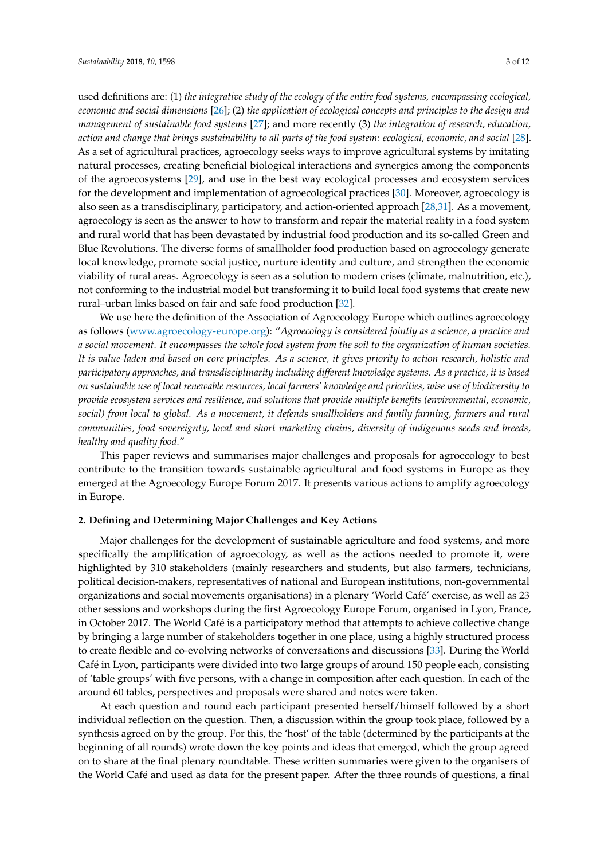used definitions are: (1) *the integrative study of the ecology of the entire food systems, encompassing ecological, economic and social dimensions* [\[26\]](#page-11-10); (2) *the application of ecological concepts and principles to the design and management of sustainable food systems* [\[27\]](#page-11-11); and more recently (3) *the integration of research, education, action and change that brings sustainability to all parts of the food system: ecological, economic, and social* [\[28\]](#page-11-12). As a set of agricultural practices, agroecology seeks ways to improve agricultural systems by imitating natural processes, creating beneficial biological interactions and synergies among the components of the agroecosystems [\[29\]](#page-11-13), and use in the best way ecological processes and ecosystem services for the development and implementation of agroecological practices [\[30\]](#page-11-14). Moreover, agroecology is also seen as a transdisciplinary, participatory, and action-oriented approach [\[28](#page-11-12)[,31\]](#page-11-15). As a movement, agroecology is seen as the answer to how to transform and repair the material reality in a food system and rural world that has been devastated by industrial food production and its so-called Green and Blue Revolutions. The diverse forms of smallholder food production based on agroecology generate local knowledge, promote social justice, nurture identity and culture, and strengthen the economic viability of rural areas. Agroecology is seen as a solution to modern crises (climate, malnutrition, etc.), not conforming to the industrial model but transforming it to build local food systems that create new rural–urban links based on fair and safe food production [\[32\]](#page-11-16).

We use here the definition of the Association of Agroecology Europe which outlines agroecology as follows [\(www.agroecology-europe.org\)](www.agroecology-europe.org): "*Agroecology is considered jointly as a science, a practice and a social movement. It encompasses the whole food system from the soil to the organization of human societies. It is value-laden and based on core principles. As a science, it gives priority to action research, holistic and participatory approaches, and transdisciplinarity including different knowledge systems. As a practice, it is based on sustainable use of local renewable resources, local farmers' knowledge and priorities, wise use of biodiversity to provide ecosystem services and resilience, and solutions that provide multiple benefits (environmental, economic, social) from local to global. As a movement, it defends smallholders and family farming, farmers and rural communities, food sovereignty, local and short marketing chains, diversity of indigenous seeds and breeds, healthy and quality food.*"

This paper reviews and summarises major challenges and proposals for agroecology to best contribute to the transition towards sustainable agricultural and food systems in Europe as they emerged at the Agroecology Europe Forum 2017. It presents various actions to amplify agroecology in Europe.

#### **2. Defining and Determining Major Challenges and Key Actions**

Major challenges for the development of sustainable agriculture and food systems, and more specifically the amplification of agroecology, as well as the actions needed to promote it, were highlighted by 310 stakeholders (mainly researchers and students, but also farmers, technicians, political decision-makers, representatives of national and European institutions, non-governmental organizations and social movements organisations) in a plenary 'World Café' exercise, as well as 23 other sessions and workshops during the first Agroecology Europe Forum, organised in Lyon, France, in October 2017. The World Café is a participatory method that attempts to achieve collective change by bringing a large number of stakeholders together in one place, using a highly structured process to create flexible and co-evolving networks of conversations and discussions [\[33\]](#page-11-17). During the World Café in Lyon, participants were divided into two large groups of around 150 people each, consisting of 'table groups' with five persons, with a change in composition after each question. In each of the around 60 tables, perspectives and proposals were shared and notes were taken.

At each question and round each participant presented herself/himself followed by a short individual reflection on the question. Then, a discussion within the group took place, followed by a synthesis agreed on by the group. For this, the 'host' of the table (determined by the participants at the beginning of all rounds) wrote down the key points and ideas that emerged, which the group agreed on to share at the final plenary roundtable. These written summaries were given to the organisers of the World Café and used as data for the present paper. After the three rounds of questions, a final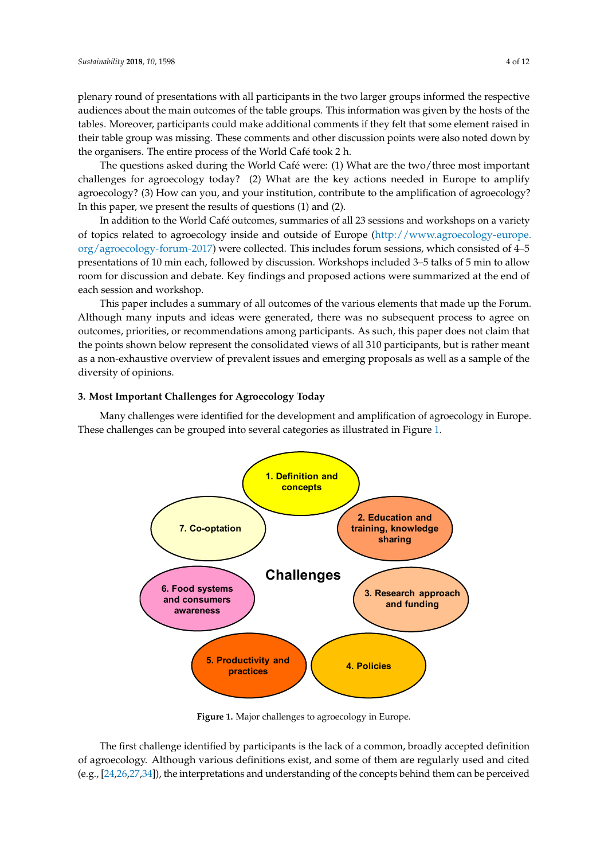plenary round of presentations with all participants in the two larger groups informed the respective *Sustainability* **2018**, *10*, x FOR PEER REVIEW 4 of 12 audiences about the main outcomes of the table groups. This information was given by the hosts of the tables. Moreover, participants could make additional comments if they felt that some element raised in their table group was missing. These comments and other discussion points were also noted down by the organisers. The entire process of the World Café took 2 h.

The questions asked during the World Café were: (1) What are the two/three most important The questions asked during the World Café were: (1) What are the two/three most important challenges for agroecology today? (2) What are the key actions needed in Europe to amplify challenges for agroecology today? (2) What are the key actions needed in Europe to amplify agroecology? (3) How can you, and your institution, contribute to the amplification of agroecology?<br>In this paper, we present the results of questions (1) and (2). In this paper, we present the results of questions (1) and (2).

In addition to the World Café outcomes, summaries of all 23 sessions and workshops on a variety In addition to the World Café outcomes, summaries of all 23 sessions and workshops on a variety of topics related to agroecology inside and outside of Europe [\(http://www.agroecology-europe.](http://www.agroecology-europe.org/agroecology-forum-2017) of topics related to agroecology inside and outside of Europe (http://www.agroecology[org/agroecology-forum-2017\)](http://www.agroecology-europe.org/agroecology-forum-2017) were collected. This includes forum sessions, which consisted of 4–5 org/agroecology-forum-2017) were collected. This includes forum sessions, which consisted of 4–5<br>presentations of 10 min each, followed by discussion. Workshops included 3–5 talks of 5 min to allow room for discussion and debate. Key findings and proposed actions were summarized at the end of each session and workshop.

This paper includes a summary of all outcomes of the various elements that made up the Forum. This paper includes a summary of all outcomes of the various elements that made up the Forum. Although many inputs and ideas were generated, there was no subsequent process to agree on Although many inputs and ideas were generated, there was no subsequent process to agree on outcomes, priorities, or recommendations among participants. As such, this paper does not claim that outcomes, priorities, or recommendations among participants. As such, this paper does not claim that<br>the points shown below represent the consolidated views of all 310 participants, but is rather meant as a non-exhaustive overview of prevalent issues and emerging proposals as well as a sample of the<br>diversity of opinions. diversity of opinions.

### **3. Most Important Challenges for Agroecology Today 3. Most Important Challenges for Agroecology Today**

<span id="page-4-0"></span>Many challenges were identified for the development and amplification of agroecology in Europe. Many challenges were identified for the development and amplification of agroecology in These challenges can be grouped [in](#page-4-0)to several categories as illustrated in Figure 1.



**Figure 1.** Major challenges to agroecology in Europe. **Figure 1.** Major challenges to agroecology in Europe.

The first challenge identified by participants is the lack of a common, broadly accepted definition The first challenge identified by participants is the lack of a common, broadly accepted definition of agroecology. Although various definitions exist, and some of them are regularly used and cited of agroecology. (e.g., [\[24,](#page-11-8)[26](#page-11-10)[,27](#page-11-11)[,34\]](#page-11-18)), the interpretations and understanding of the concepts behind them can be perceived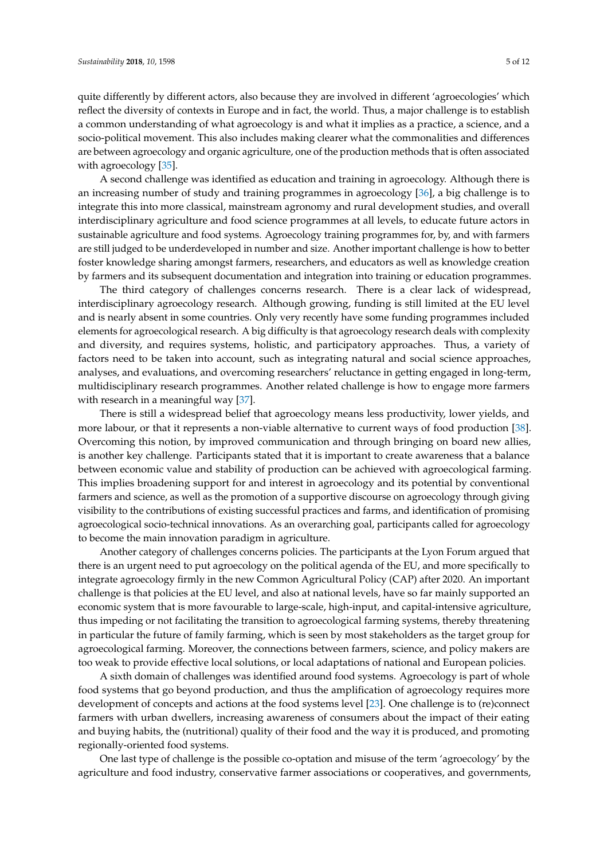quite differently by different actors, also because they are involved in different 'agroecologies' which reflect the diversity of contexts in Europe and in fact, the world. Thus, a major challenge is to establish a common understanding of what agroecology is and what it implies as a practice, a science, and a socio-political movement. This also includes making clearer what the commonalities and differences are between agroecology and organic agriculture, one of the production methods that is often associated with agroecology [\[35\]](#page-11-19).

A second challenge was identified as education and training in agroecology. Although there is an increasing number of study and training programmes in agroecology [\[36\]](#page-12-0), a big challenge is to integrate this into more classical, mainstream agronomy and rural development studies, and overall interdisciplinary agriculture and food science programmes at all levels, to educate future actors in sustainable agriculture and food systems. Agroecology training programmes for, by, and with farmers are still judged to be underdeveloped in number and size. Another important challenge is how to better foster knowledge sharing amongst farmers, researchers, and educators as well as knowledge creation by farmers and its subsequent documentation and integration into training or education programmes.

The third category of challenges concerns research. There is a clear lack of widespread, interdisciplinary agroecology research. Although growing, funding is still limited at the EU level and is nearly absent in some countries. Only very recently have some funding programmes included elements for agroecological research. A big difficulty is that agroecology research deals with complexity and diversity, and requires systems, holistic, and participatory approaches. Thus, a variety of factors need to be taken into account, such as integrating natural and social science approaches, analyses, and evaluations, and overcoming researchers' reluctance in getting engaged in long-term, multidisciplinary research programmes. Another related challenge is how to engage more farmers with research in a meaningful way [\[37\]](#page-12-1).

There is still a widespread belief that agroecology means less productivity, lower yields, and more labour, or that it represents a non-viable alternative to current ways of food production [\[38\]](#page-12-2). Overcoming this notion, by improved communication and through bringing on board new allies, is another key challenge. Participants stated that it is important to create awareness that a balance between economic value and stability of production can be achieved with agroecological farming. This implies broadening support for and interest in agroecology and its potential by conventional farmers and science, as well as the promotion of a supportive discourse on agroecology through giving visibility to the contributions of existing successful practices and farms, and identification of promising agroecological socio-technical innovations. As an overarching goal, participants called for agroecology to become the main innovation paradigm in agriculture.

Another category of challenges concerns policies. The participants at the Lyon Forum argued that there is an urgent need to put agroecology on the political agenda of the EU, and more specifically to integrate agroecology firmly in the new Common Agricultural Policy (CAP) after 2020. An important challenge is that policies at the EU level, and also at national levels, have so far mainly supported an economic system that is more favourable to large-scale, high-input, and capital-intensive agriculture, thus impeding or not facilitating the transition to agroecological farming systems, thereby threatening in particular the future of family farming, which is seen by most stakeholders as the target group for agroecological farming. Moreover, the connections between farmers, science, and policy makers are too weak to provide effective local solutions, or local adaptations of national and European policies.

A sixth domain of challenges was identified around food systems. Agroecology is part of whole food systems that go beyond production, and thus the amplification of agroecology requires more development of concepts and actions at the food systems level [\[23\]](#page-11-7). One challenge is to (re)connect farmers with urban dwellers, increasing awareness of consumers about the impact of their eating and buying habits, the (nutritional) quality of their food and the way it is produced, and promoting regionally-oriented food systems.

One last type of challenge is the possible co-optation and misuse of the term 'agroecology' by the agriculture and food industry, conservative farmer associations or cooperatives, and governments,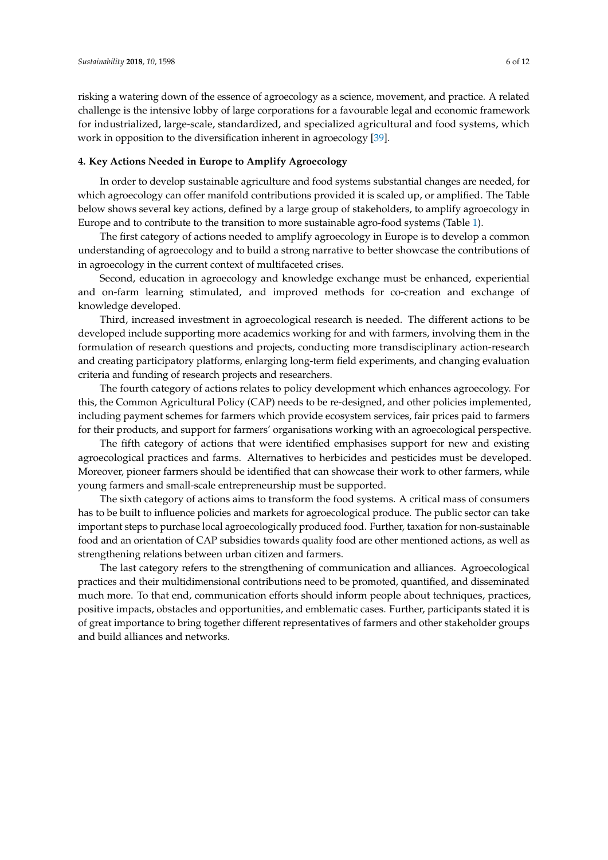risking a watering down of the essence of agroecology as a science, movement, and practice. A related challenge is the intensive lobby of large corporations for a favourable legal and economic framework for industrialized, large-scale, standardized, and specialized agricultural and food systems, which work in opposition to the diversification inherent in agroecology [\[39\]](#page-12-3).

#### **4. Key Actions Needed in Europe to Amplify Agroecology**

In order to develop sustainable agriculture and food systems substantial changes are needed, for which agroecology can offer manifold contributions provided it is scaled up, or amplified. The Table below shows several key actions, defined by a large group of stakeholders, to amplify agroecology in Europe and to contribute to the transition to more sustainable agro-food systems (Table [1\)](#page-7-0).

The first category of actions needed to amplify agroecology in Europe is to develop a common understanding of agroecology and to build a strong narrative to better showcase the contributions of in agroecology in the current context of multifaceted crises.

Second, education in agroecology and knowledge exchange must be enhanced, experiential and on-farm learning stimulated, and improved methods for co-creation and exchange of knowledge developed.

Third, increased investment in agroecological research is needed. The different actions to be developed include supporting more academics working for and with farmers, involving them in the formulation of research questions and projects, conducting more transdisciplinary action-research and creating participatory platforms, enlarging long-term field experiments, and changing evaluation criteria and funding of research projects and researchers.

The fourth category of actions relates to policy development which enhances agroecology. For this, the Common Agricultural Policy (CAP) needs to be re-designed, and other policies implemented, including payment schemes for farmers which provide ecosystem services, fair prices paid to farmers for their products, and support for farmers' organisations working with an agroecological perspective.

The fifth category of actions that were identified emphasises support for new and existing agroecological practices and farms. Alternatives to herbicides and pesticides must be developed. Moreover, pioneer farmers should be identified that can showcase their work to other farmers, while young farmers and small-scale entrepreneurship must be supported.

The sixth category of actions aims to transform the food systems. A critical mass of consumers has to be built to influence policies and markets for agroecological produce. The public sector can take important steps to purchase local agroecologically produced food. Further, taxation for non-sustainable food and an orientation of CAP subsidies towards quality food are other mentioned actions, as well as strengthening relations between urban citizen and farmers.

The last category refers to the strengthening of communication and alliances. Agroecological practices and their multidimensional contributions need to be promoted, quantified, and disseminated much more. To that end, communication efforts should inform people about techniques, practices, positive impacts, obstacles and opportunities, and emblematic cases. Further, participants stated it is of great importance to bring together different representatives of farmers and other stakeholder groups and build alliances and networks.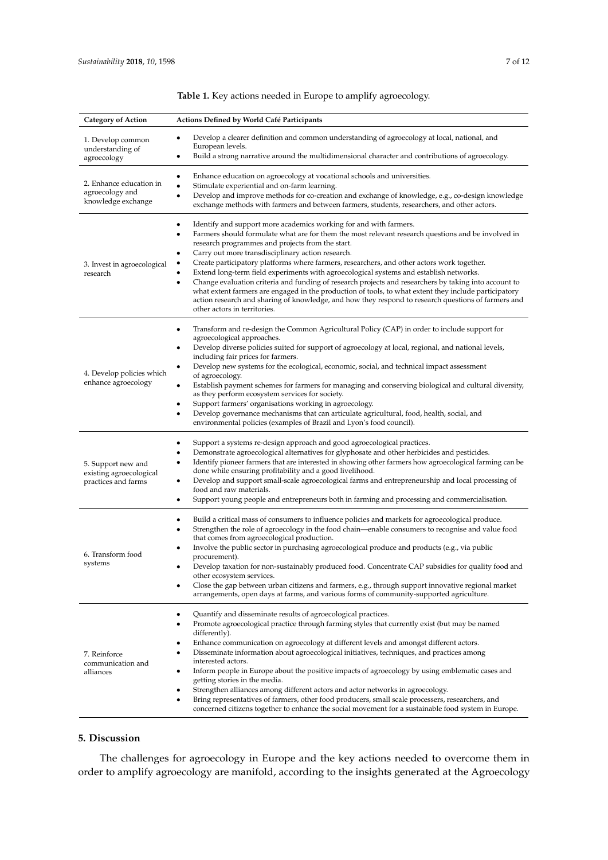<span id="page-7-0"></span>

| <b>Category of Action</b>                                            | <b>Actions Defined by World Café Participants</b>                                                                                                                                                                                                                                                                                                                                                                                                                                                                                                                                                                                                                                                                                                                                                                                                             |
|----------------------------------------------------------------------|---------------------------------------------------------------------------------------------------------------------------------------------------------------------------------------------------------------------------------------------------------------------------------------------------------------------------------------------------------------------------------------------------------------------------------------------------------------------------------------------------------------------------------------------------------------------------------------------------------------------------------------------------------------------------------------------------------------------------------------------------------------------------------------------------------------------------------------------------------------|
| 1. Develop common<br>understanding of<br>agroecology                 | Develop a clearer definition and common understanding of agroecology at local, national, and<br>$\bullet$<br>European levels.<br>Build a strong narrative around the multidimensional character and contributions of agroecology.<br>٠                                                                                                                                                                                                                                                                                                                                                                                                                                                                                                                                                                                                                        |
| 2. Enhance education in<br>agroecology and<br>knowledge exchange     | Enhance education on agroecology at vocational schools and universities.<br>٠<br>Stimulate experiential and on-farm learning.<br>$\bullet$<br>Develop and improve methods for co-creation and exchange of knowledge, e.g., co-design knowledge<br>٠<br>exchange methods with farmers and between farmers, students, researchers, and other actors.                                                                                                                                                                                                                                                                                                                                                                                                                                                                                                            |
| 3. Invest in agroecological<br>research                              | Identify and support more academics working for and with farmers.<br>$\bullet$<br>Farmers should formulate what are for them the most relevant research questions and be involved in<br>٠<br>research programmes and projects from the start.<br>Carry out more transdisciplinary action research.<br>٠<br>Create participatory platforms where farmers, researchers, and other actors work together.<br>Extend long-term field experiments with agroecological systems and establish networks.<br>Change evaluation criteria and funding of research projects and researchers by taking into account to<br>٠<br>what extent farmers are engaged in the production of tools, to what extent they include participatory<br>action research and sharing of knowledge, and how they respond to research questions of farmers and<br>other actors in territories. |
| 4. Develop policies which<br>enhance agroecology                     | Transform and re-design the Common Agricultural Policy (CAP) in order to include support for<br>٠<br>agroecological approaches.<br>Develop diverse policies suited for support of agroecology at local, regional, and national levels,<br>including fair prices for farmers.<br>Develop new systems for the ecological, economic, social, and technical impact assessment<br>of agroecology.<br>Establish payment schemes for farmers for managing and conserving biological and cultural diversity,<br>$\bullet$<br>as they perform ecosystem services for society.<br>Support farmers' organisations working in agroecology.<br>٠<br>Develop governance mechanisms that can articulate agricultural, food, health, social, and<br>$\bullet$<br>environmental policies (examples of Brazil and Lyon's food council).                                         |
| 5. Support new and<br>existing agroecological<br>practices and farms | Support a systems re-design approach and good agroecological practices.<br>٠<br>Demonstrate agroecological alternatives for glyphosate and other herbicides and pesticides.<br>Identify pioneer farmers that are interested in showing other farmers how agroecological farming can be<br>$\bullet$<br>done while ensuring profitability and a good livelihood.<br>Develop and support small-scale agroecological farms and entrepreneurship and local processing of<br>٠<br>food and raw materials.<br>Support young people and entrepreneurs both in farming and processing and commercialisation.<br>٠                                                                                                                                                                                                                                                     |
| 6. Transform food<br>systems                                         | Build a critical mass of consumers to influence policies and markets for agroecological produce.<br>Strengthen the role of agroecology in the food chain—enable consumers to recognise and value food<br>that comes from agroecological production.<br>Involve the public sector in purchasing agroecological produce and products (e.g., via public<br>procurement).<br>Develop taxation for non-sustainably produced food. Concentrate CAP subsidies for quality food and<br>other ecosystem services.<br>Close the gap between urban citizens and farmers, e.g., through support innovative regional market<br>٠<br>arrangements, open days at farms, and various forms of community-supported agriculture.                                                                                                                                                |
| 7. Reinforce<br>communication and<br>alliances                       | Quantify and disseminate results of agroecological practices.<br>٠<br>Promote agroecological practice through farming styles that currently exist (but may be named<br>differently).<br>Enhance communication on agroecology at different levels and amongst different actors.<br>Disseminate information about agroecological initiatives, techniques, and practices among<br>٠<br>interested actors.<br>Inform people in Europe about the positive impacts of agroecology by using emblematic cases and<br>٠<br>getting stories in the media.<br>Strengthen alliances among different actors and actor networks in agroecology.<br>٠<br>Bring representatives of farmers, other food producers, small scale processers, researchers, and<br>٠<br>concerned citizens together to enhance the social movement for a sustainable food system in Europe.        |

#### **Table 1.** Key actions needed in Europe to amplify agroecology.

#### **5. Discussion**

The challenges for agroecology in Europe and the key actions needed to overcome them in order to amplify agroecology are manifold, according to the insights generated at the Agroecology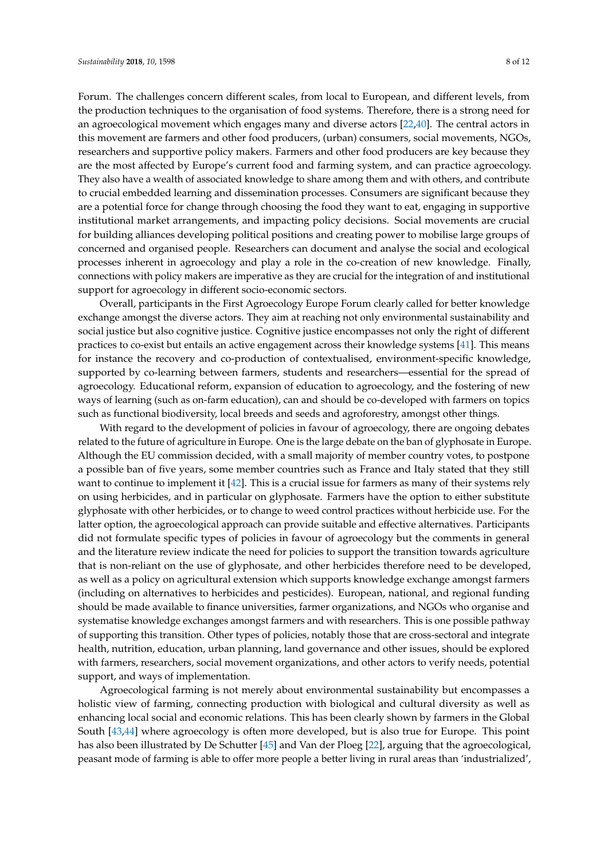Forum. The challenges concern different scales, from local to European, and different levels, from the production techniques to the organisation of food systems. Therefore, there is a strong need for an agroecological movement which engages many and diverse actors [\[22,](#page-11-6)[40\]](#page-12-4). The central actors in this movement are farmers and other food producers, (urban) consumers, social movements, NGOs, researchers and supportive policy makers. Farmers and other food producers are key because they are the most affected by Europe's current food and farming system, and can practice agroecology. They also have a wealth of associated knowledge to share among them and with others, and contribute to crucial embedded learning and dissemination processes. Consumers are significant because they are a potential force for change through choosing the food they want to eat, engaging in supportive institutional market arrangements, and impacting policy decisions. Social movements are crucial for building alliances developing political positions and creating power to mobilise large groups of concerned and organised people. Researchers can document and analyse the social and ecological processes inherent in agroecology and play a role in the co-creation of new knowledge. Finally, connections with policy makers are imperative as they are crucial for the integration of and institutional support for agroecology in different socio-economic sectors.

Overall, participants in the First Agroecology Europe Forum clearly called for better knowledge exchange amongst the diverse actors. They aim at reaching not only environmental sustainability and social justice but also cognitive justice. Cognitive justice encompasses not only the right of different practices to co-exist but entails an active engagement across their knowledge systems [\[41\]](#page-12-5). This means for instance the recovery and co-production of contextualised, environment-specific knowledge, supported by co-learning between farmers, students and researchers—essential for the spread of agroecology. Educational reform, expansion of education to agroecology, and the fostering of new ways of learning (such as on-farm education), can and should be co-developed with farmers on topics such as functional biodiversity, local breeds and seeds and agroforestry, amongst other things.

With regard to the development of policies in favour of agroecology, there are ongoing debates related to the future of agriculture in Europe. One is the large debate on the ban of glyphosate in Europe. Although the EU commission decided, with a small majority of member country votes, to postpone a possible ban of five years, some member countries such as France and Italy stated that they still want to continue to implement it [\[42\]](#page-12-6). This is a crucial issue for farmers as many of their systems rely on using herbicides, and in particular on glyphosate. Farmers have the option to either substitute glyphosate with other herbicides, or to change to weed control practices without herbicide use. For the latter option, the agroecological approach can provide suitable and effective alternatives. Participants did not formulate specific types of policies in favour of agroecology but the comments in general and the literature review indicate the need for policies to support the transition towards agriculture that is non-reliant on the use of glyphosate, and other herbicides therefore need to be developed, as well as a policy on agricultural extension which supports knowledge exchange amongst farmers (including on alternatives to herbicides and pesticides). European, national, and regional funding should be made available to finance universities, farmer organizations, and NGOs who organise and systematise knowledge exchanges amongst farmers and with researchers. This is one possible pathway of supporting this transition. Other types of policies, notably those that are cross-sectoral and integrate health, nutrition, education, urban planning, land governance and other issues, should be explored with farmers, researchers, social movement organizations, and other actors to verify needs, potential support, and ways of implementation.

Agroecological farming is not merely about environmental sustainability but encompasses a holistic view of farming, connecting production with biological and cultural diversity as well as enhancing local social and economic relations. This has been clearly shown by farmers in the Global South [\[43](#page-12-7)[,44\]](#page-12-8) where agroecology is often more developed, but is also true for Europe. This point has also been illustrated by De Schutter [\[45\]](#page-12-9) and Van der Ploeg [\[22\]](#page-11-6), arguing that the agroecological, peasant mode of farming is able to offer more people a better living in rural areas than 'industrialized',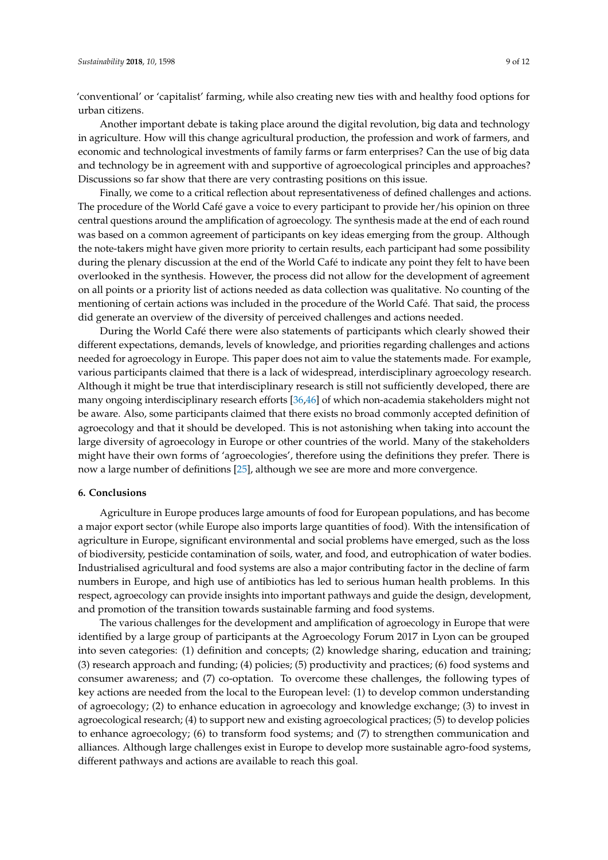'conventional' or 'capitalist' farming, while also creating new ties with and healthy food options for urban citizens.

Another important debate is taking place around the digital revolution, big data and technology in agriculture. How will this change agricultural production, the profession and work of farmers, and economic and technological investments of family farms or farm enterprises? Can the use of big data and technology be in agreement with and supportive of agroecological principles and approaches? Discussions so far show that there are very contrasting positions on this issue.

Finally, we come to a critical reflection about representativeness of defined challenges and actions. The procedure of the World Café gave a voice to every participant to provide her/his opinion on three central questions around the amplification of agroecology. The synthesis made at the end of each round was based on a common agreement of participants on key ideas emerging from the group. Although the note-takers might have given more priority to certain results, each participant had some possibility during the plenary discussion at the end of the World Café to indicate any point they felt to have been overlooked in the synthesis. However, the process did not allow for the development of agreement on all points or a priority list of actions needed as data collection was qualitative. No counting of the mentioning of certain actions was included in the procedure of the World Café. That said, the process did generate an overview of the diversity of perceived challenges and actions needed.

During the World Café there were also statements of participants which clearly showed their different expectations, demands, levels of knowledge, and priorities regarding challenges and actions needed for agroecology in Europe. This paper does not aim to value the statements made. For example, various participants claimed that there is a lack of widespread, interdisciplinary agroecology research. Although it might be true that interdisciplinary research is still not sufficiently developed, there are many ongoing interdisciplinary research efforts [\[36,](#page-12-0)[46\]](#page-12-10) of which non-academia stakeholders might not be aware. Also, some participants claimed that there exists no broad commonly accepted definition of agroecology and that it should be developed. This is not astonishing when taking into account the large diversity of agroecology in Europe or other countries of the world. Many of the stakeholders might have their own forms of 'agroecologies', therefore using the definitions they prefer. There is now a large number of definitions [\[25\]](#page-11-9), although we see are more and more convergence.

#### **6. Conclusions**

Agriculture in Europe produces large amounts of food for European populations, and has become a major export sector (while Europe also imports large quantities of food). With the intensification of agriculture in Europe, significant environmental and social problems have emerged, such as the loss of biodiversity, pesticide contamination of soils, water, and food, and eutrophication of water bodies. Industrialised agricultural and food systems are also a major contributing factor in the decline of farm numbers in Europe, and high use of antibiotics has led to serious human health problems. In this respect, agroecology can provide insights into important pathways and guide the design, development, and promotion of the transition towards sustainable farming and food systems.

The various challenges for the development and amplification of agroecology in Europe that were identified by a large group of participants at the Agroecology Forum 2017 in Lyon can be grouped into seven categories: (1) definition and concepts; (2) knowledge sharing, education and training; (3) research approach and funding; (4) policies; (5) productivity and practices; (6) food systems and consumer awareness; and (7) co-optation. To overcome these challenges, the following types of key actions are needed from the local to the European level: (1) to develop common understanding of agroecology; (2) to enhance education in agroecology and knowledge exchange; (3) to invest in agroecological research; (4) to support new and existing agroecological practices; (5) to develop policies to enhance agroecology; (6) to transform food systems; and (7) to strengthen communication and alliances. Although large challenges exist in Europe to develop more sustainable agro-food systems, different pathways and actions are available to reach this goal.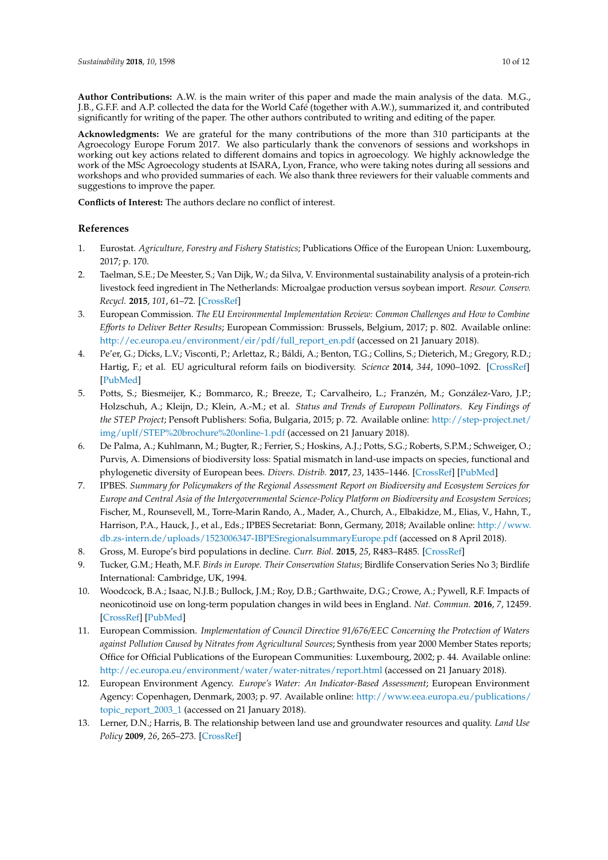**Author Contributions:** A.W. is the main writer of this paper and made the main analysis of the data. M.G., J.B., G.F.F. and A.P. collected the data for the World Café (together with A.W.), summarized it, and contributed significantly for writing of the paper. The other authors contributed to writing and editing of the paper.

**Acknowledgments:** We are grateful for the many contributions of the more than 310 participants at the Agroecology Europe Forum 2017. We also particularly thank the convenors of sessions and workshops in working out key actions related to different domains and topics in agroecology. We highly acknowledge the work of the MSc Agroecology students at ISARA, Lyon, France, who were taking notes during all sessions and workshops and who provided summaries of each. We also thank three reviewers for their valuable comments and suggestions to improve the paper.

**Conflicts of Interest:** The authors declare no conflict of interest.

#### **References**

- <span id="page-10-0"></span>1. Eurostat. *Agriculture, Forestry and Fishery Statistics*; Publications Office of the European Union: Luxembourg, 2017; p. 170.
- <span id="page-10-1"></span>2. Taelman, S.E.; De Meester, S.; Van Dijk, W.; da Silva, V. Environmental sustainability analysis of a protein-rich livestock feed ingredient in The Netherlands: Microalgae production versus soybean import. *Resour. Conserv. Recycl.* **2015**, *101*, 61–72. [\[CrossRef\]](http://dx.doi.org/10.1016/j.resconrec.2015.05.013)
- <span id="page-10-2"></span>3. European Commission. *The EU Environmental Implementation Review: Common Challenges and How to Combine Efforts to Deliver Better Results*; European Commission: Brussels, Belgium, 2017; p. 802. Available online: [http://ec.europa.eu/environment/eir/pdf/full\\_report\\_en.pdf](http://ec.europa.eu/environment/eir/pdf/full_report_en.pdf) (accessed on 21 January 2018).
- <span id="page-10-5"></span>4. Pe'er, G.; Dicks, L.V.; Visconti, P.; Arlettaz, R.; Báldi, A.; Benton, T.G.; Collins, S.; Dieterich, M.; Gregory, R.D.; Hartig, F.; et al. EU agricultural reform fails on biodiversity. *Science* **2014**, *344*, 1090–1092. [\[CrossRef\]](http://dx.doi.org/10.1126/science.1253425) [\[PubMed\]](http://www.ncbi.nlm.nih.gov/pubmed/24904142)
- 5. Potts, S.; Biesmeijer, K.; Bommarco, R.; Breeze, T.; Carvalheiro, L.; Franzén, M.; González-Varo, J.P.; Holzschuh, A.; Kleijn, D.; Klein, A.-M.; et al. *Status and Trends of European Pollinators. Key Findings of the STEP Project*; Pensoft Publishers: Sofia, Bulgaria, 2015; p. 72. Available online: [http://step-project.net/](http://step-project.net/img/uplf/STEP%20brochure%20online-1.pdf) [img/uplf/STEP%20brochure%20online-1.pdf](http://step-project.net/img/uplf/STEP%20brochure%20online-1.pdf) (accessed on 21 January 2018).
- <span id="page-10-7"></span>6. De Palma, A.; Kuhlmann, M.; Bugter, R.; Ferrier, S.; Hoskins, A.J.; Potts, S.G.; Roberts, S.P.M.; Schweiger, O.; Purvis, A. Dimensions of biodiversity loss: Spatial mismatch in land-use impacts on species, functional and phylogenetic diversity of European bees. *Divers. Distrib.* **2017**, *23*, 1435–1446. [\[CrossRef\]](http://dx.doi.org/10.1111/ddi.12638) [\[PubMed\]](http://www.ncbi.nlm.nih.gov/pubmed/29200933)
- <span id="page-10-3"></span>7. IPBES. *Summary for Policymakers of the Regional Assessment Report on Biodiversity and Ecosystem Services for Europe and Central Asia of the Intergovernmental Science-Policy Platform on Biodiversity and Ecosystem Services*; Fischer, M., Rounsevell, M., Torre-Marin Rando, A., Mader, A., Church, A., Elbakidze, M., Elias, V., Hahn, T., Harrison, P.A., Hauck, J., et al., Eds.; IPBES Secretariat: Bonn, Germany, 2018; Available online: [http://www.](http://www.db.zs-intern.de/uploads/1523006347-IBPESregionalsummaryEurope.pdf) [db.zs-intern.de/uploads/1523006347-IBPESregionalsummaryEurope.pdf](http://www.db.zs-intern.de/uploads/1523006347-IBPESregionalsummaryEurope.pdf) (accessed on 8 April 2018).
- <span id="page-10-4"></span>8. Gross, M. Europe's bird populations in decline. *Curr. Biol.* **2015**, *25*, R483–R485. [\[CrossRef\]](http://dx.doi.org/10.1016/j.cub.2015.05.057)
- <span id="page-10-6"></span>9. Tucker, G.M.; Heath, M.F. *Birds in Europe. Their Conservation Status*; Birdlife Conservation Series No 3; Birdlife International: Cambridge, UK, 1994.
- <span id="page-10-8"></span>10. Woodcock, B.A.; Isaac, N.J.B.; Bullock, J.M.; Roy, D.B.; Garthwaite, D.G.; Crowe, A.; Pywell, R.F. Impacts of neonicotinoid use on long-term population changes in wild bees in England. *Nat. Commun.* **2016**, *7*, 12459. [\[CrossRef\]](http://dx.doi.org/10.1038/ncomms12459) [\[PubMed\]](http://www.ncbi.nlm.nih.gov/pubmed/27529661)
- <span id="page-10-9"></span>11. European Commission. *Implementation of Council Directive 91/676/EEC Concerning the Protection of Waters against Pollution Caused by Nitrates from Agricultural Sources*; Synthesis from year 2000 Member States reports; Office for Official Publications of the European Communities: Luxembourg, 2002; p. 44. Available online: <http://ec.europa.eu/environment/water/water-nitrates/report.html> (accessed on 21 January 2018).
- <span id="page-10-10"></span>12. European Environment Agency. *Europe's Water: An Indicator-Based Assessment*; European Environment Agency: Copenhagen, Denmark, 2003; p. 97. Available online: [http://www.eea.europa.eu/publications/](http://www.eea.europa.eu/publications/topic_report_2003_1) [topic\\_report\\_2003\\_1](http://www.eea.europa.eu/publications/topic_report_2003_1) (accessed on 21 January 2018).
- <span id="page-10-11"></span>13. Lerner, D.N.; Harris, B. The relationship between land use and groundwater resources and quality. *Land Use Policy* **2009**, *26*, 265–273. [\[CrossRef\]](http://dx.doi.org/10.1016/j.landusepol.2009.09.005)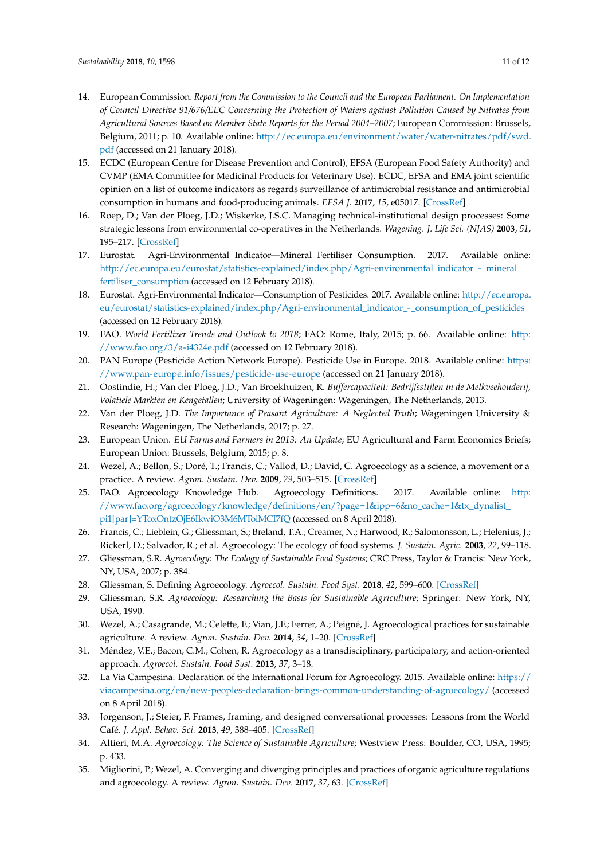- <span id="page-11-0"></span>14. European Commission. *Report from the Commission to the Council and the European Parliament. On Implementation of Council Directive 91/676/EEC Concerning the Protection of Waters against Pollution Caused by Nitrates from Agricultural Sources Based on Member State Reports for the Period 2004–2007*; European Commission: Brussels, Belgium, 2011; p. 10. Available online: [http://ec.europa.eu/environment/water/water-nitrates/pdf/swd.](http://ec.europa.eu/environment/water/water-nitrates/pdf/swd.pdf) [pdf](http://ec.europa.eu/environment/water/water-nitrates/pdf/swd.pdf) (accessed on 21 January 2018).
- <span id="page-11-1"></span>15. ECDC (European Centre for Disease Prevention and Control), EFSA (European Food Safety Authority) and CVMP (EMA Committee for Medicinal Products for Veterinary Use). ECDC, EFSA and EMA joint scientific opinion on a list of outcome indicators as regards surveillance of antimicrobial resistance and antimicrobial consumption in humans and food-producing animals. *EFSA J.* **2017**, *15*, e05017. [\[CrossRef\]](http://dx.doi.org/10.2903/j.efsa.2017.5017)
- <span id="page-11-2"></span>16. Roep, D.; Van der Ploeg, J.D.; Wiskerke, J.S.C. Managing technical-institutional design processes: Some strategic lessons from environmental co-operatives in the Netherlands. *Wagening. J. Life Sci. (NJAS)* **2003**, *51*, 195–217. [\[CrossRef\]](http://dx.doi.org/10.1016/S1573-5214(03)80033-7)
- <span id="page-11-3"></span>17. Eurostat. Agri-Environmental Indicator—Mineral Fertiliser Consumption. 2017. Available online: [http://ec.europa.eu/eurostat/statistics-explained/index.php/Agri-environmental\\_indicator\\_-\\_mineral\\_](http://ec.europa.eu/eurostat/statistics-explained/index.php/Agri-environmental_indicator_-_mineral_fertiliser_consumption) [fertiliser\\_consumption](http://ec.europa.eu/eurostat/statistics-explained/index.php/Agri-environmental_indicator_-_mineral_fertiliser_consumption) (accessed on 12 February 2018).
- 18. Eurostat. Agri-Environmental Indicator—Consumption of Pesticides. 2017. Available online: [http://ec.europa.](http://ec.europa.eu/eurostat/statistics-explained/index.php/Agri-environmental_indicator_-_consumption_of_pesticides) [eu/eurostat/statistics-explained/index.php/Agri-environmental\\_indicator\\_-\\_consumption\\_of\\_pesticides](http://ec.europa.eu/eurostat/statistics-explained/index.php/Agri-environmental_indicator_-_consumption_of_pesticides) (accessed on 12 February 2018).
- 19. FAO. *World Fertilizer Trends and Outlook to 2018*; FAO: Rome, Italy, 2015; p. 66. Available online: [http:](http://www.fao.org/3/a-i4324e.pdf) [//www.fao.org/3/a-i4324e.pdf](http://www.fao.org/3/a-i4324e.pdf) (accessed on 12 February 2018).
- <span id="page-11-4"></span>20. PAN Europe (Pesticide Action Network Europe). Pesticide Use in Europe. 2018. Available online: [https:](https://www.pan-europe.info/issues/pesticide-use-europe) [//www.pan-europe.info/issues/pesticide-use-europe](https://www.pan-europe.info/issues/pesticide-use-europe) (accessed on 21 January 2018).
- <span id="page-11-5"></span>21. Oostindie, H.; Van der Ploeg, J.D.; Van Broekhuizen, R. *Buffercapaciteit: Bedrijfsstijlen in de Melkveehouderij, Volatiele Markten en Kengetallen*; University of Wageningen: Wageningen, The Netherlands, 2013.
- <span id="page-11-6"></span>22. Van der Ploeg, J.D. *The Importance of Peasant Agriculture: A Neglected Truth*; Wageningen University & Research: Wageningen, The Netherlands, 2017; p. 27.
- <span id="page-11-7"></span>23. European Union. *EU Farms and Farmers in 2013: An Update*; EU Agricultural and Farm Economics Briefs; European Union: Brussels, Belgium, 2015; p. 8.
- <span id="page-11-8"></span>24. Wezel, A.; Bellon, S.; Doré, T.; Francis, C.; Vallod, D.; David, C. Agroecology as a science, a movement or a practice. A review. *Agron. Sustain. Dev.* **2009**, *29*, 503–515. [\[CrossRef\]](http://dx.doi.org/10.1051/agro/2009004)
- <span id="page-11-9"></span>25. FAO. Agroecology Knowledge Hub. Agroecology Definitions. 2017. Available online: [http:](http://www.fao.org/agroecology/knowledge/definitions/en/?page=1&ipp=6&no_cache=1&tx_dynalist_pi1[par]=YToxOntzOjE6IkwiO3M6MToiMCI7fQ) [//www.fao.org/agroecology/knowledge/definitions/en/?page=1&ipp=6&no\\_cache=1&tx\\_dynalist\\_](http://www.fao.org/agroecology/knowledge/definitions/en/?page=1&ipp=6&no_cache=1&tx_dynalist_pi1[par]=YToxOntzOjE6IkwiO3M6MToiMCI7fQ) [pi1\[par\]=YToxOntzOjE6IkwiO3M6MToiMCI7fQ](http://www.fao.org/agroecology/knowledge/definitions/en/?page=1&ipp=6&no_cache=1&tx_dynalist_pi1[par]=YToxOntzOjE6IkwiO3M6MToiMCI7fQ) (accessed on 8 April 2018).
- <span id="page-11-10"></span>26. Francis, C.; Lieblein, G.; Gliessman, S.; Breland, T.A.; Creamer, N.; Harwood, R.; Salomonsson, L.; Helenius, J.; Rickerl, D.; Salvador, R.; et al. Agroecology: The ecology of food systems. *J. Sustain. Agric.* **2003**, *22*, 99–118.
- <span id="page-11-11"></span>27. Gliessman, S.R. *Agroecology: The Ecology of Sustainable Food Systems*; CRC Press, Taylor & Francis: New York, NY, USA, 2007; p. 384.
- <span id="page-11-12"></span>28. Gliessman, S. Defining Agroecology. *Agroecol. Sustain. Food Syst.* **2018**, *42*, 599–600. [\[CrossRef\]](http://dx.doi.org/10.1080/21683565.2018.1432329)
- <span id="page-11-13"></span>29. Gliessman, S.R. *Agroecology: Researching the Basis for Sustainable Agriculture*; Springer: New York, NY, USA, 1990.
- <span id="page-11-14"></span>30. Wezel, A.; Casagrande, M.; Celette, F.; Vian, J.F.; Ferrer, A.; Peigné, J. Agroecological practices for sustainable agriculture. A review. *Agron. Sustain. Dev.* **2014**, *34*, 1–20. [\[CrossRef\]](http://dx.doi.org/10.1007/s13593-013-0180-7)
- <span id="page-11-15"></span>31. Méndez, V.E.; Bacon, C.M.; Cohen, R. Agroecology as a transdisciplinary, participatory, and action-oriented approach. *Agroecol. Sustain. Food Syst.* **2013**, *37*, 3–18.
- <span id="page-11-16"></span>32. La Via Campesina. Declaration of the International Forum for Agroecology. 2015. Available online: [https://](https://viacampesina.org/en/new-peoples-declaration-brings-common-understanding-of-agroecology/) [viacampesina.org/en/new-peoples-declaration-brings-common-understanding-of-agroecology/](https://viacampesina.org/en/new-peoples-declaration-brings-common-understanding-of-agroecology/) (accessed on 8 April 2018).
- <span id="page-11-17"></span>33. Jorgenson, J.; Steier, F. Frames, framing, and designed conversational processes: Lessons from the World Café. *J. Appl. Behav. Sci.* **2013**, *49*, 388–405. [\[CrossRef\]](http://dx.doi.org/10.1177/0021886313484511)
- <span id="page-11-18"></span>34. Altieri, M.A. *Agroecology: The Science of Sustainable Agriculture*; Westview Press: Boulder, CO, USA, 1995; p. 433.
- <span id="page-11-19"></span>35. Migliorini, P.; Wezel, A. Converging and diverging principles and practices of organic agriculture regulations and agroecology. A review. *Agron. Sustain. Dev.* **2017**, *37*, 63. [\[CrossRef\]](http://dx.doi.org/10.1007/s13593-017-0472-4)